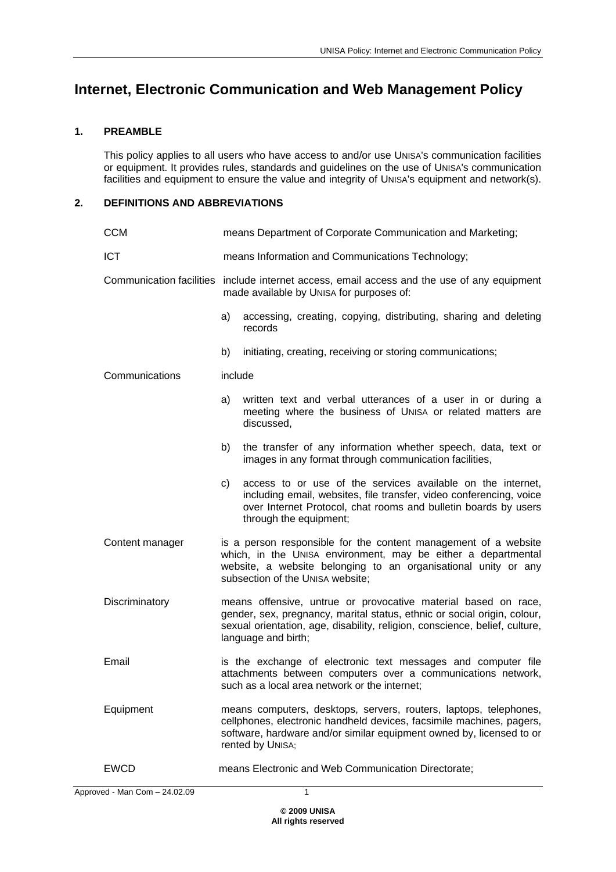## **Internet, Electronic Communication and Web Management Policy**

## **1. PREAMBLE**

This policy applies to all users who have access to and/or use UNISA's communication facilities or equipment. It provides rules, standards and guidelines on the use of UNISA's communication facilities and equipment to ensure the value and integrity of UNISA's equipment and network(s).

## **2. DEFINITIONS AND ABBREVIATIONS**

| <b>CCM</b>      | means Department of Corporate Communication and Marketing;                                                                                                                                                                                       |                                                                                                                                                                                                                                 |  |  |  |  |
|-----------------|--------------------------------------------------------------------------------------------------------------------------------------------------------------------------------------------------------------------------------------------------|---------------------------------------------------------------------------------------------------------------------------------------------------------------------------------------------------------------------------------|--|--|--|--|
| <b>ICT</b>      |                                                                                                                                                                                                                                                  | means Information and Communications Technology;                                                                                                                                                                                |  |  |  |  |
|                 | Communication facilities include internet access, email access and the use of any equipment<br>made available by UNISA for purposes of:                                                                                                          |                                                                                                                                                                                                                                 |  |  |  |  |
|                 | a)                                                                                                                                                                                                                                               | accessing, creating, copying, distributing, sharing and deleting<br>records                                                                                                                                                     |  |  |  |  |
|                 | b)                                                                                                                                                                                                                                               | initiating, creating, receiving or storing communications;                                                                                                                                                                      |  |  |  |  |
| Communications  | include                                                                                                                                                                                                                                          |                                                                                                                                                                                                                                 |  |  |  |  |
|                 | a)                                                                                                                                                                                                                                               | written text and verbal utterances of a user in or during a<br>meeting where the business of UNISA or related matters are<br>discussed,                                                                                         |  |  |  |  |
|                 | b)                                                                                                                                                                                                                                               | the transfer of any information whether speech, data, text or<br>images in any format through communication facilities,                                                                                                         |  |  |  |  |
|                 | c)                                                                                                                                                                                                                                               | access to or use of the services available on the internet,<br>including email, websites, file transfer, video conferencing, voice<br>over Internet Protocol, chat rooms and bulletin boards by users<br>through the equipment; |  |  |  |  |
| Content manager | is a person responsible for the content management of a website<br>which, in the UNISA environment, may be either a departmental<br>website, a website belonging to an organisational unity or any<br>subsection of the UNISA website;           |                                                                                                                                                                                                                                 |  |  |  |  |
| Discriminatory  | means offensive, untrue or provocative material based on race,<br>gender, sex, pregnancy, marital status, ethnic or social origin, colour,<br>sexual orientation, age, disability, religion, conscience, belief, culture,<br>language and birth; |                                                                                                                                                                                                                                 |  |  |  |  |
| Email           | is the exchange of electronic text messages and computer file<br>attachments between computers over a communications network,<br>such as a local area network or the internet;                                                                   |                                                                                                                                                                                                                                 |  |  |  |  |
| Equipment       | means computers, desktops, servers, routers, laptops, telephones,<br>cellphones, electronic handheld devices, facsimile machines, pagers,<br>software, hardware and/or similar equipment owned by, licensed to or<br>rented by UNISA;            |                                                                                                                                                                                                                                 |  |  |  |  |
| <b>EWCD</b>     | means Electronic and Web Communication Directorate;                                                                                                                                                                                              |                                                                                                                                                                                                                                 |  |  |  |  |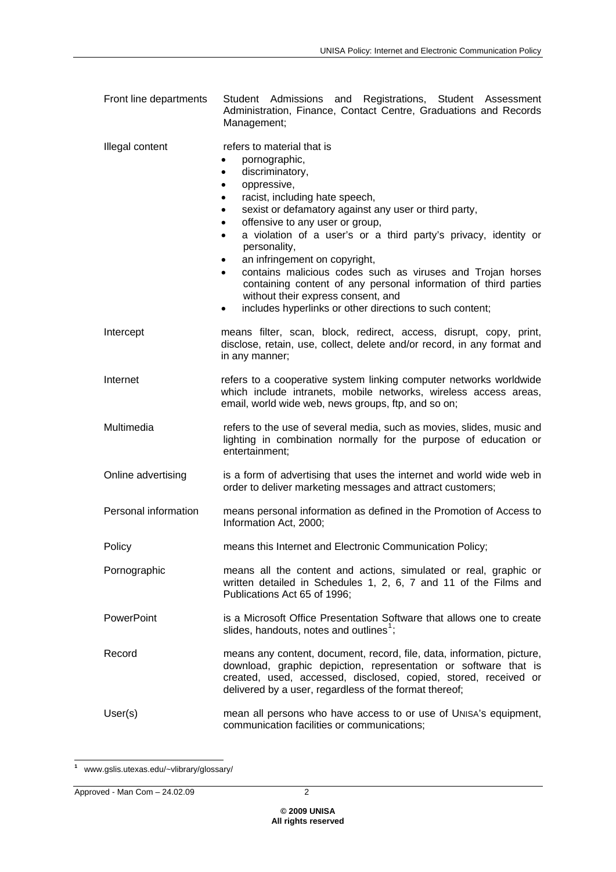| Front line departments |             |  |  | Student Admissions and Registrations, Student Assessment         |  |
|------------------------|-------------|--|--|------------------------------------------------------------------|--|
|                        |             |  |  | Administration. Finance. Contact Centre. Graduations and Records |  |
|                        | Management: |  |  |                                                                  |  |

| Illegal content      | refers to material that is<br>pornographic,<br>discriminatory,<br>$\bullet$<br>oppressive,<br>٠<br>racist, including hate speech,<br>٠<br>sexist or defamatory against any user or third party,<br>٠<br>offensive to any user or group,<br>٠<br>a violation of a user's or a third party's privacy, identity or<br>$\bullet$<br>personality,<br>an infringement on copyright,<br>contains malicious codes such as viruses and Trojan horses<br>containing content of any personal information of third parties<br>without their express consent, and<br>includes hyperlinks or other directions to such content;<br>$\bullet$ |
|----------------------|-------------------------------------------------------------------------------------------------------------------------------------------------------------------------------------------------------------------------------------------------------------------------------------------------------------------------------------------------------------------------------------------------------------------------------------------------------------------------------------------------------------------------------------------------------------------------------------------------------------------------------|
| Intercept            | means filter, scan, block, redirect, access, disrupt, copy, print,<br>disclose, retain, use, collect, delete and/or record, in any format and<br>in any manner;                                                                                                                                                                                                                                                                                                                                                                                                                                                               |
| Internet             | refers to a cooperative system linking computer networks worldwide<br>which include intranets, mobile networks, wireless access areas,<br>email, world wide web, news groups, ftp, and so on;                                                                                                                                                                                                                                                                                                                                                                                                                                 |
| Multimedia           | refers to the use of several media, such as movies, slides, music and<br>lighting in combination normally for the purpose of education or<br>entertainment;                                                                                                                                                                                                                                                                                                                                                                                                                                                                   |
| Online advertising   | is a form of advertising that uses the internet and world wide web in<br>order to deliver marketing messages and attract customers;                                                                                                                                                                                                                                                                                                                                                                                                                                                                                           |
| Personal information | means personal information as defined in the Promotion of Access to<br>Information Act, 2000;                                                                                                                                                                                                                                                                                                                                                                                                                                                                                                                                 |
| Policy               | means this Internet and Electronic Communication Policy;                                                                                                                                                                                                                                                                                                                                                                                                                                                                                                                                                                      |
| Pornographic         | means all the content and actions, simulated or real, graphic or<br>written detailed in Schedules 1, 2, 6, 7 and 11 of the Films and<br>Publications Act 65 of 1996;                                                                                                                                                                                                                                                                                                                                                                                                                                                          |
| <b>PowerPoint</b>    | is a Microsoft Office Presentation Software that allows one to create<br>slides, handouts, notes and outlines <sup>1</sup> ;                                                                                                                                                                                                                                                                                                                                                                                                                                                                                                  |
| Record               | means any content, document, record, file, data, information, picture,<br>download, graphic depiction, representation or software that is<br>created, used, accessed, disclosed, copied, stored, received or<br>delivered by a user, regardless of the format thereof;                                                                                                                                                                                                                                                                                                                                                        |
| User(s)              | mean all persons who have access to or use of UNISA's equipment,<br>communication facilities or communications;                                                                                                                                                                                                                                                                                                                                                                                                                                                                                                               |

<span id="page-1-0"></span> **1** www.gslis.utexas.edu/~vlibrary/glossary/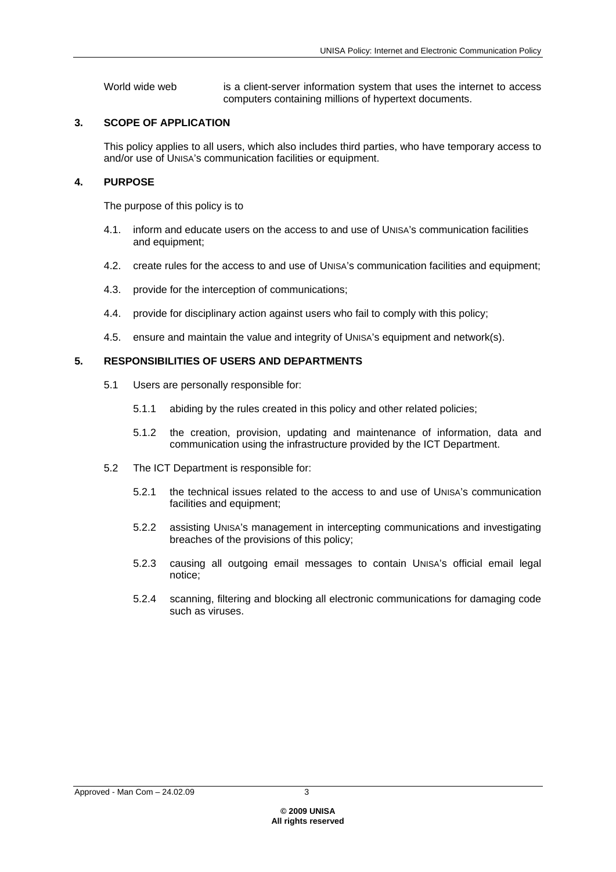World wide web is a client-server information system that uses the internet to access computers containing millions of hypertext documents.

## **3. SCOPE OF APPLICATION**

This policy applies to all users, which also includes third parties, who have temporary access to and/or use of UNISA's communication facilities or equipment.

## **4. PURPOSE**

The purpose of this policy is to

- 4.1. inform and educate users on the access to and use of UNISA's communication facilities and equipment;
- 4.2. create rules for the access to and use of UNISA's communication facilities and equipment;
- 4.3. provide for the interception of communications;
- 4.4. provide for disciplinary action against users who fail to comply with this policy;
- 4.5. ensure and maintain the value and integrity of UNISA's equipment and network(s).

## **5. RESPONSIBILITIES OF USERS AND DEPARTMENTS**

- 5.1 Users are personally responsible for:
	- 5.1.1 abiding by the rules created in this policy and other related policies;
	- 5.1.2 the creation, provision, updating and maintenance of information, data and communication using the infrastructure provided by the ICT Department.
- 5.2 The ICT Department is responsible for:
	- 5.2.1 the technical issues related to the access to and use of UNISA's communication facilities and equipment;
	- 5.2.2 assisting UNISA's management in intercepting communications and investigating breaches of the provisions of this policy;
	- 5.2.3 causing all outgoing email messages to contain UNISA's official email legal notice;
	- 5.2.4 scanning, filtering and blocking all electronic communications for damaging code such as viruses.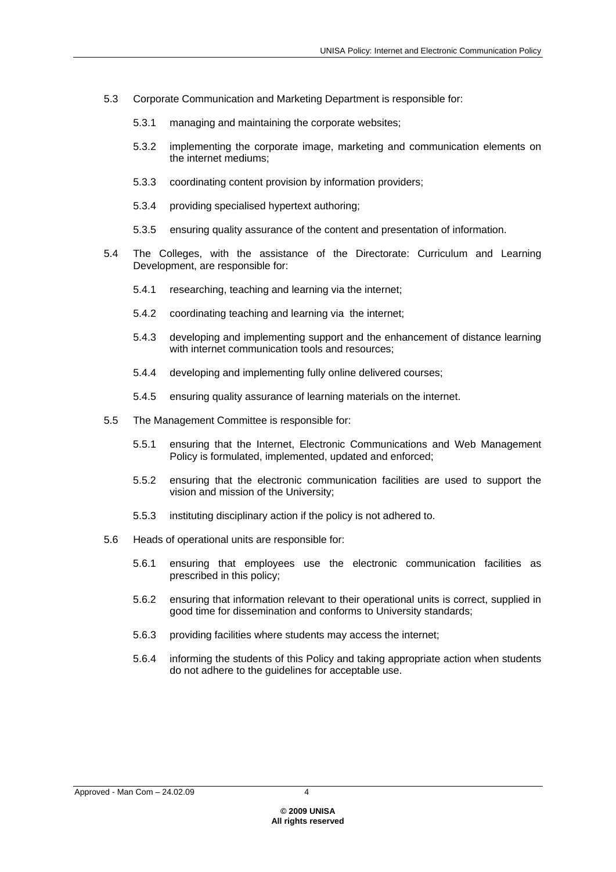- 5.3 Corporate Communication and Marketing Department is responsible for:
	- 5.3.1 managing and maintaining the corporate websites;
	- 5.3.2 implementing the corporate image, marketing and communication elements on the internet mediums;
	- 5.3.3 coordinating content provision by information providers;
	- 5.3.4 providing specialised hypertext authoring;
	- 5.3.5 ensuring quality assurance of the content and presentation of information.
- 5.4 The Colleges, with the assistance of the Directorate: Curriculum and Learning Development, are responsible for:
	- 5.4.1 researching, teaching and learning via the internet;
	- 5.4.2 coordinating teaching and learning via the internet;
	- 5.4.3 developing and implementing support and the enhancement of distance learning with internet communication tools and resources:
	- 5.4.4 developing and implementing fully online delivered courses;
	- 5.4.5 ensuring quality assurance of learning materials on the internet.
- 5.5 The Management Committee is responsible for:
	- 5.5.1 ensuring that the Internet, Electronic Communications and Web Management Policy is formulated, implemented, updated and enforced;
	- 5.5.2 ensuring that the electronic communication facilities are used to support the vision and mission of the University;
	- 5.5.3 instituting disciplinary action if the policy is not adhered to.
- 5.6 Heads of operational units are responsible for:
	- 5.6.1 ensuring that employees use the electronic communication facilities as prescribed in this policy;
	- 5.6.2 ensuring that information relevant to their operational units is correct, supplied in good time for dissemination and conforms to University standards;
	- 5.6.3 providing facilities where students may access the internet;
	- 5.6.4 informing the students of this Policy and taking appropriate action when students do not adhere to the guidelines for acceptable use.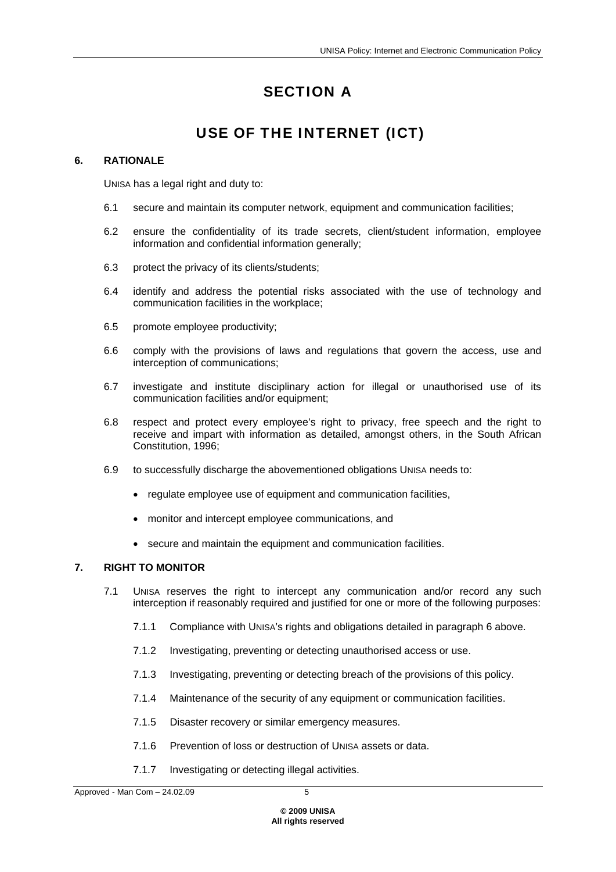# SECTION A

## USE OF THE INTERNET (ICT)

## **6. RATIONALE**

UNISA has a legal right and duty to:

- 6.1 secure and maintain its computer network, equipment and communication facilities;
- 6.2 ensure the confidentiality of its trade secrets, client/student information, employee information and confidential information generally;
- 6.3 protect the privacy of its clients/students;
- 6.4 identify and address the potential risks associated with the use of technology and communication facilities in the workplace;
- 6.5 promote employee productivity;
- 6.6 comply with the provisions of laws and regulations that govern the access, use and interception of communications;
- 6.7 investigate and institute disciplinary action for illegal or unauthorised use of its communication facilities and/or equipment;
- 6.8 respect and protect every employee's right to privacy, free speech and the right to receive and impart with information as detailed, amongst others, in the South African Constitution, 1996;
- 6.9 to successfully discharge the abovementioned obligations UNISA needs to:
	- regulate employee use of equipment and communication facilities,
	- monitor and intercept employee communications, and
	- secure and maintain the equipment and communication facilities.

## **7. RIGHT TO MONITOR**

- 7.1 UNISA reserves the right to intercept any communication and/or record any such interception if reasonably required and justified for one or more of the following purposes:
	- 7.1.1 Compliance with UNISA's rights and obligations detailed in paragraph 6 above.
	- 7.1.2 Investigating, preventing or detecting unauthorised access or use.
	- 7.1.3 Investigating, preventing or detecting breach of the provisions of this policy.
	- 7.1.4 Maintenance of the security of any equipment or communication facilities.
	- 7.1.5 Disaster recovery or similar emergency measures.
	- 7.1.6 Prevention of loss or destruction of UNISA assets or data.
	- 7.1.7 Investigating or detecting illegal activities.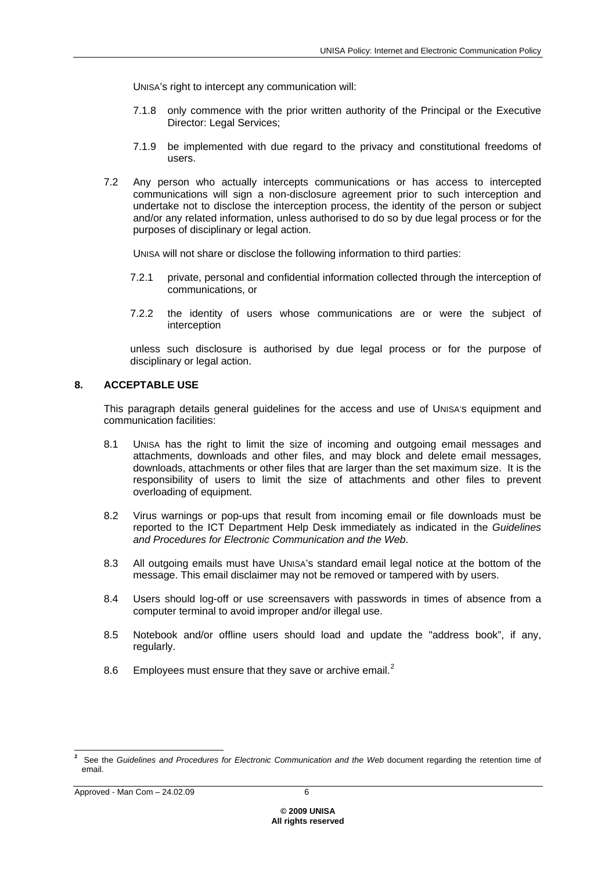UNISA's right to intercept any communication will:

- 7.1.8 only commence with the prior written authority of the Principal or the Executive Director: Legal Services;
- 7.1.9 be implemented with due regard to the privacy and constitutional freedoms of users.
- 7.2 Any person who actually intercepts communications or has access to intercepted communications will sign a non-disclosure agreement prior to such interception and undertake not to disclose the interception process, the identity of the person or subject and/or any related information, unless authorised to do so by due legal process or for the purposes of disciplinary or legal action.

UNISA will not share or disclose the following information to third parties:

- 7.2.1 private, personal and confidential information collected through the interception of communications, or
- 7.2.2 the identity of users whose communications are or were the subject of interception

unless such disclosure is authorised by due legal process or for the purpose of disciplinary or legal action.

## **8. ACCEPTABLE USE**

This paragraph details general guidelines for the access and use of UNISA's equipment and communication facilities:

- 8.1 UNISA has the right to limit the size of incoming and outgoing email messages and attachments, downloads and other files, and may block and delete email messages, downloads, attachments or other files that are larger than the set maximum size. It is the responsibility of users to limit the size of attachments and other files to prevent overloading of equipment.
- 8.2 Virus warnings or pop-ups that result from incoming email or file downloads must be reported to the ICT Department Help Desk immediately as indicated in the *Guidelines and Procedures for Electronic Communication and the Web*.
- 8.3 All outgoing emails must have UNISA's standard email legal notice at the bottom of the message. This email disclaimer may not be removed or tampered with by users.
- 8.4 Users should log-off or use screensavers with passwords in times of absence from a computer terminal to avoid improper and/or illegal use.
- 8.5 Notebook and/or offline users should load and update the "address book", if any, regularly.
- 8.6 Employees must ensure that they save or archive email.<sup>[2](#page-5-0)</sup>

<span id="page-5-0"></span> **2** See the *Guidelines and Procedures for Electronic Communication and the Web* document regarding the retention time of email.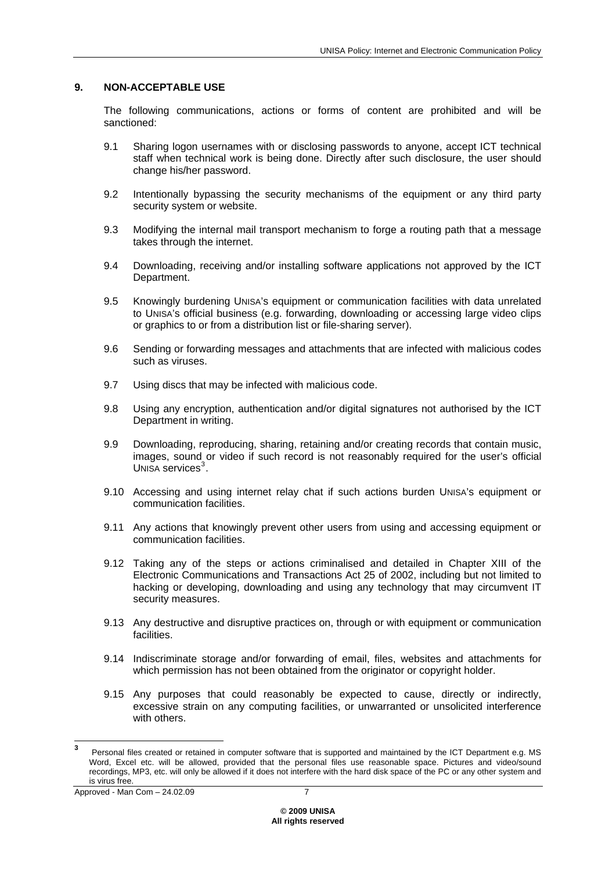#### **9. NON-ACCEPTABLE USE**

The following communications, actions or forms of content are prohibited and will be sanctioned:

- 9.1 Sharing logon usernames with or disclosing passwords to anyone, accept ICT technical staff when technical work is being done. Directly after such disclosure, the user should change his/her password.
- 9.2 Intentionally bypassing the security mechanisms of the equipment or any third party security system or website.
- 9.3 Modifying the internal mail transport mechanism to forge a routing path that a message takes through the internet.
- 9.4 Downloading, receiving and/or installing software applications not approved by the ICT Department.
- 9.5 Knowingly burdening UNISA's equipment or communication facilities with data unrelated to UNISA's official business (e.g. forwarding, downloading or accessing large video clips or graphics to or from a distribution list or file-sharing server).
- 9.6 Sending or forwarding messages and attachments that are infected with malicious codes such as viruses.
- 9.7 Using discs that may be infected with malicious code.
- 9.8 Using any encryption, authentication and/or digital signatures not authorised by the ICT Department in writing.
- 9.9 Downloading, reproducing, sharing, retaining and/or creating records that contain music, images, sound or video if such record is not reasonably required for the user's official UNISA services $3$ .
- 9.10 Accessing and using internet relay chat if such actions burden UNISA's equipment or communication facilities.
- 9.11 Any actions that knowingly prevent other users from using and accessing equipment or communication facilities.
- 9.12 Taking any of the steps or actions criminalised and detailed in Chapter XIII of the Electronic Communications and Transactions Act 25 of 2002, including but not limited to hacking or developing, downloading and using any technology that may circumvent IT security measures.
- 9.13 Any destructive and disruptive practices on, through or with equipment or communication facilities.
- 9.14 Indiscriminate storage and/or forwarding of email, files, websites and attachments for which permission has not been obtained from the originator or copyright holder.
- 9.15 Any purposes that could reasonably be expected to cause, directly or indirectly, excessive strain on any computing facilities, or unwarranted or unsolicited interference with others.

<span id="page-6-0"></span> **3** Personal files created or retained in computer software that is supported and maintained by the ICT Department e.g. MS Word, Excel etc. will be allowed, provided that the personal files use reasonable space. Pictures and video/sound recordings, MP3, etc. will only be allowed if it does not interfere with the hard disk space of the PC or any other system and is virus free.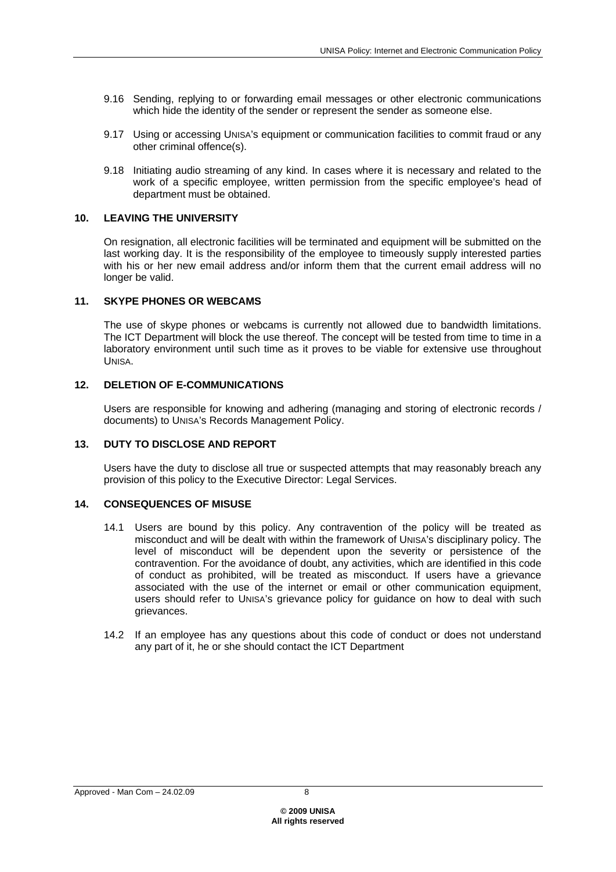- 9.16 Sending, replying to or forwarding email messages or other electronic communications which hide the identity of the sender or represent the sender as someone else.
- 9.17 Using or accessing UNISA's equipment or communication facilities to commit fraud or any other criminal offence(s).
- 9.18 Initiating audio streaming of any kind. In cases where it is necessary and related to the work of a specific employee, written permission from the specific employee's head of department must be obtained.

## **10. LEAVING THE UNIVERSITY**

On resignation, all electronic facilities will be terminated and equipment will be submitted on the last working day. It is the responsibility of the employee to timeously supply interested parties with his or her new email address and/or inform them that the current email address will no longer be valid.

#### **11. SKYPE PHONES OR WEBCAMS**

The use of skype phones or webcams is currently not allowed due to bandwidth limitations. The ICT Department will block the use thereof. The concept will be tested from time to time in a laboratory environment until such time as it proves to be viable for extensive use throughout UNISA.

#### **12. DELETION OF E-COMMUNICATIONS**

Users are responsible for knowing and adhering (managing and storing of electronic records / documents) to UNISA's Records Management Policy.

#### **13. DUTY TO DISCLOSE AND REPORT**

Users have the duty to disclose all true or suspected attempts that may reasonably breach any provision of this policy to the Executive Director: Legal Services.

#### **14. CONSEQUENCES OF MISUSE**

- 14.1 Users are bound by this policy. Any contravention of the policy will be treated as misconduct and will be dealt with within the framework of UNISA's disciplinary policy. The level of misconduct will be dependent upon the severity or persistence of the contravention. For the avoidance of doubt, any activities, which are identified in this code of conduct as prohibited, will be treated as misconduct. If users have a grievance associated with the use of the internet or email or other communication equipment, users should refer to UNISA's grievance policy for guidance on how to deal with such grievances.
- 14.2 If an employee has any questions about this code of conduct or does not understand any part of it, he or she should contact the ICT Department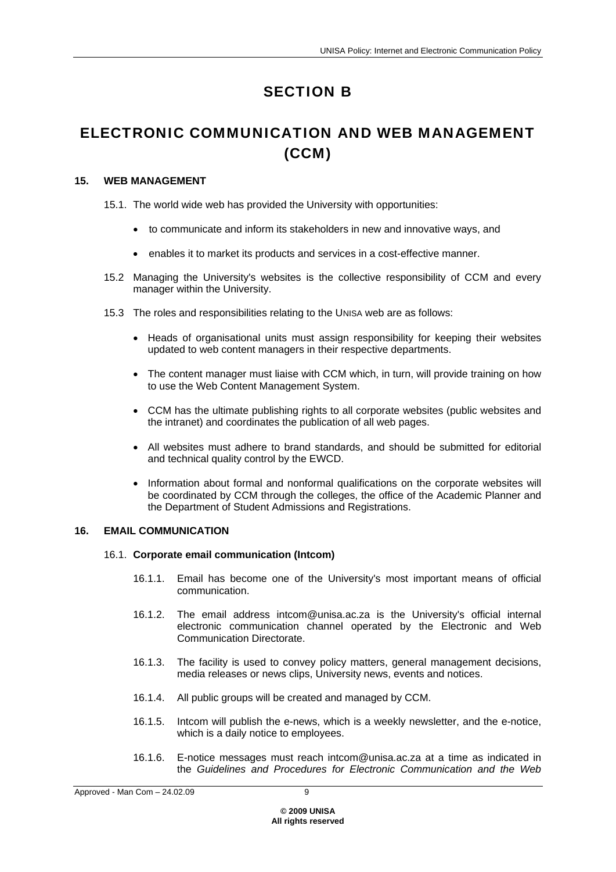# SECTION B

## ELECTRONIC COMMUNICATION AND WEB MANAGEMENT (CCM)

## **15. WEB MANAGEMENT**

15.1. The world wide web has provided the University with opportunities:

- to communicate and inform its stakeholders in new and innovative ways, and
- enables it to market its products and services in a cost-effective manner.
- 15.2 Managing the University's websites is the collective responsibility of CCM and every manager within the University.
- 15.3 The roles and responsibilities relating to the UNISA web are as follows:
	- Heads of organisational units must assign responsibility for keeping their websites updated to web content managers in their respective departments.
	- The content manager must liaise with CCM which, in turn, will provide training on how to use the Web Content Management System.
	- CCM has the ultimate publishing rights to all corporate websites (public websites and the intranet) and coordinates the publication of all web pages.
	- All websites must adhere to brand standards, and should be submitted for editorial and technical quality control by the EWCD.
	- Information about formal and nonformal qualifications on the corporate websites will be coordinated by CCM through the colleges, the office of the Academic Planner and the Department of Student Admissions and Registrations.

## **16. EMAIL COMMUNICATION**

## 16.1. **Corporate email communication (Intcom)**

- 16.1.1. Email has become one of the University's most important means of official communication.
- 16.1.2. The email address intcom@unisa.ac.za is the University's official internal electronic communication channel operated by the Electronic and Web Communication Directorate.
- 16.1.3. The facility is used to convey policy matters, general management decisions, media releases or news clips, University news, events and notices.
- 16.1.4. All public groups will be created and managed by CCM.
- 16.1.5. Intcom will publish the e-news, which is a weekly newsletter, and the e-notice, which is a daily notice to employees.
- 16.1.6. E-notice messages must reach intcom@unisa.ac.za at a time as indicated in the *Guidelines and Procedures for Electronic Communication and the Web*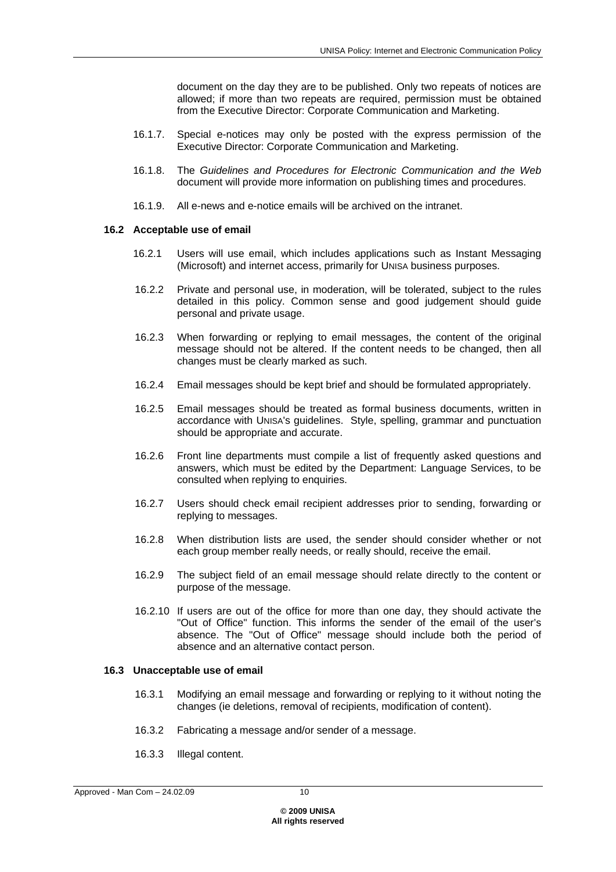document on the day they are to be published. Only two repeats of notices are allowed; if more than two repeats are required, permission must be obtained from the Executive Director: Corporate Communication and Marketing.

- 16.1.7. Special e-notices may only be posted with the express permission of the Executive Director: Corporate Communication and Marketing.
- 16.1.8. The *Guidelines and Procedures for Electronic Communication and the Web* document will provide more information on publishing times and procedures.
- 16.1.9. All e-news and e-notice emails will be archived on the intranet.

#### **16.2 Acceptable use of email**

- 16.2.1 Users will use email, which includes applications such as Instant Messaging (Microsoft) and internet access, primarily for UNISA business purposes.
- 16.2.2 Private and personal use, in moderation, will be tolerated, subject to the rules detailed in this policy. Common sense and good judgement should guide personal and private usage.
- 16.2.3 When forwarding or replying to email messages, the content of the original message should not be altered. If the content needs to be changed, then all changes must be clearly marked as such.
- 16.2.4 Email messages should be kept brief and should be formulated appropriately.
- 16.2.5 Email messages should be treated as formal business documents, written in accordance with UNISA's guidelines. Style, spelling, grammar and punctuation should be appropriate and accurate.
- 16.2.6 Front line departments must compile a list of frequently asked questions and answers, which must be edited by the Department: Language Services, to be consulted when replying to enquiries.
- 16.2.7 Users should check email recipient addresses prior to sending, forwarding or replying to messages.
- 16.2.8 When distribution lists are used, the sender should consider whether or not each group member really needs, or really should, receive the email.
- 16.2.9 The subject field of an email message should relate directly to the content or purpose of the message.
- 16.2.10 If users are out of the office for more than one day, they should activate the "Out of Office" function. This informs the sender of the email of the user's absence. The "Out of Office" message should include both the period of absence and an alternative contact person.

#### **16.3 Unacceptable use of email**

- 16.3.1 Modifying an email message and forwarding or replying to it without noting the changes (ie deletions, removal of recipients, modification of content).
- 16.3.2 Fabricating a message and/or sender of a message.
- 16.3.3 Illegal content.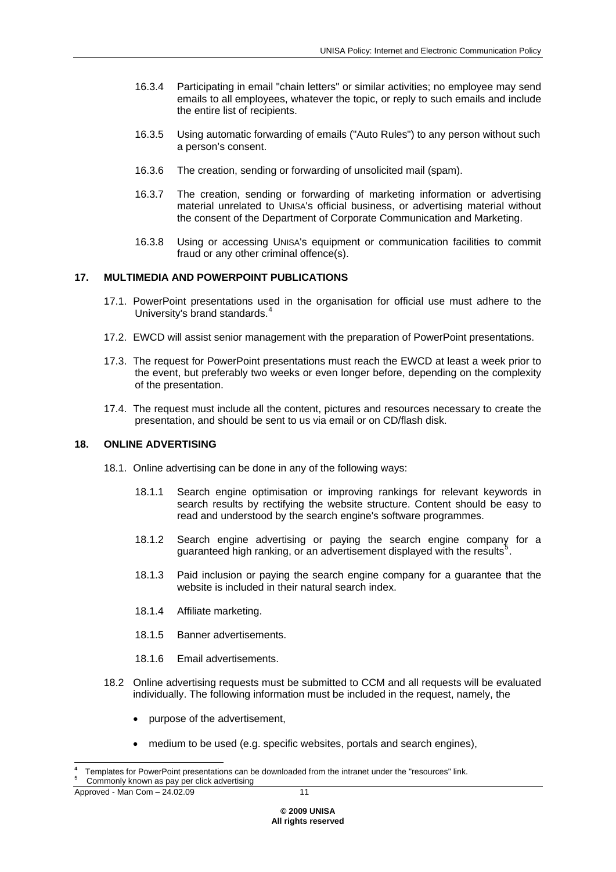- 16.3.4 Participating in email "chain letters" or similar activities; no employee may send emails to all employees, whatever the topic, or reply to such emails and include the entire list of recipients.
- 16.3.5 Using automatic forwarding of emails ("Auto Rules") to any person without such a person's consent.
- 16.3.6 The creation, sending or forwarding of unsolicited mail (spam).
- 16.3.7 The creation, sending or forwarding of marketing information or advertising material unrelated to UNISA's official business, or advertising material without the consent of the Department of Corporate Communication and Marketing.
- 16.3.8 Using or accessing UNISA's equipment or communication facilities to commit fraud or any other criminal offence(s).

## **17. MULTIMEDIA AND POWERPOINT PUBLICATIONS**

- 17.1. PowerPoint presentations used in the organisation for official use must adhere to the University's brand standards.<sup>[4](#page-10-0)</sup>
- 17.2. EWCD will assist senior management with the preparation of PowerPoint presentations.
- 17.3. The request for PowerPoint presentations must reach the EWCD at least a week prior to the event, but preferably two weeks or even longer before, depending on the complexity of the presentation.
- 17.4. The request must include all the content, pictures and resources necessary to create the presentation, and should be sent to us via email or on CD/flash disk.

#### **18. ONLINE ADVERTISING**

- 18.1. Online advertising can be done in any of the following ways:
	- 18.1.1 Search engine optimisation or improving rankings for relevant keywords in search results by rectifying the website structure. Content should be easy to read and understood by the search engine's software programmes.
	- 18.1.2 Search engine advertising or paying the search engine company for a guaranteed high ranking, or an advertisement displayed with the results<sup>[5](#page-10-1)</sup>.
	- 18.1.3 Paid inclusion or paying the search engine company for a guarantee that the website is included in their natural search index.
	- 18.1.4 Affiliate marketing.
	- 18.1.5 Banner advertisements.
	- 18.1.6 Email advertisements.
- 18.2 Online advertising requests must be submitted to CCM and all requests will be evaluated individually. The following information must be included in the request, namely, the
	- purpose of the advertisement,
	- medium to be used (e.g. specific websites, portals and search engines),

<span id="page-10-1"></span><span id="page-10-0"></span>**<sup>4</sup>** Templates for PowerPoint presentations can be downloaded from the intranet under the "resources" link. 5